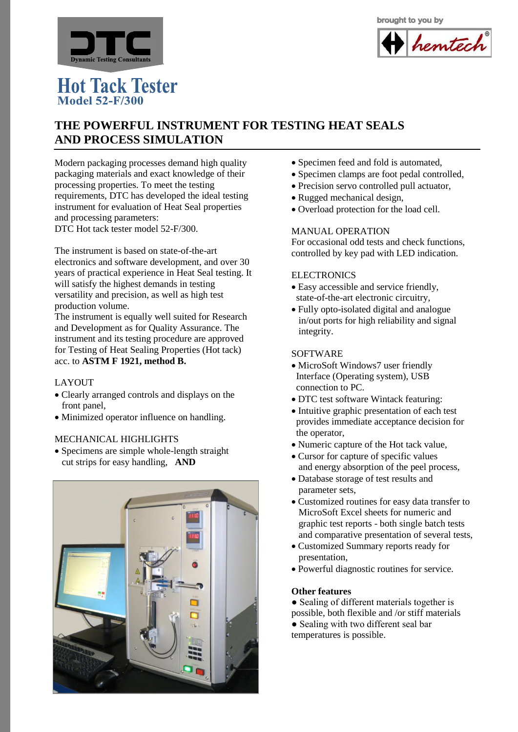



# **Hot Tack Tester Model 52-F/300**

# **THE POWERFUL INSTRUMENT FOR TESTING HEAT SEALS AND PROCESS SIMULATION**

Modern packaging processes demand high quality packaging materials and exact knowledge of their processing properties. To meet the testing requirements, DTC has developed the ideal testing instrument for evaluation of Heat Seal properties and processing parameters: DTC Hot tack tester model 52-F/300.

The instrument is based on state-of-the-art electronics and software development, and over 30 years of practical experience in Heat Seal testing. It will satisfy the highest demands in testing versatility and precision, as well as high test production volume.

The instrument is equally well suited for Research and Development as for Quality Assurance. The instrument and its testing procedure are approved for Testing of Heat Sealing Properties (Hot tack) acc. to **ASTM F 1921, method B.**

#### LAYOUT

- Clearly arranged controls and displays on the front panel,
- Minimized operator influence on handling.

# MECHANICAL HIGHLIGHTS

• Specimens are simple whole-length straight cut strips for easy handling, **AND** 



- Specimen feed and fold is automated,
- Specimen clamps are foot pedal controlled,
- Precision servo controlled pull actuator,
- Rugged mechanical design,
- Overload protection for the load cell.

#### MANUAL OPERATION

For occasional odd tests and check functions, controlled by key pad with LED indication.

#### **ELECTRONICS**

- Easy accessible and service friendly, state-of-the-art electronic circuitry,
- Fully opto-isolated digital and analogue in/out ports for high reliability and signal integrity.

#### **SOFTWARE**

- MicroSoft Windows7 user friendly Interface (Operating system), USB connection to PC.
- DTC test software Wintack featuring:
- Intuitive graphic presentation of each test provides immediate acceptance decision for the operator,
- Numeric capture of the Hot tack value,
- Cursor for capture of specific values and energy absorption of the peel process,
- Database storage of test results and parameter sets,
- Customized routines for easy data transfer to MicroSoft Excel sheets for numeric and graphic test reports - both single batch tests and comparative presentation of several tests,
- Customized Summary reports ready for presentation,
- Powerful diagnostic routines for service.

#### **Other features**

- Sealing of different materials together is
- possible, both flexible and /or stiff materials
- Sealing with two different seal bar temperatures is possible.